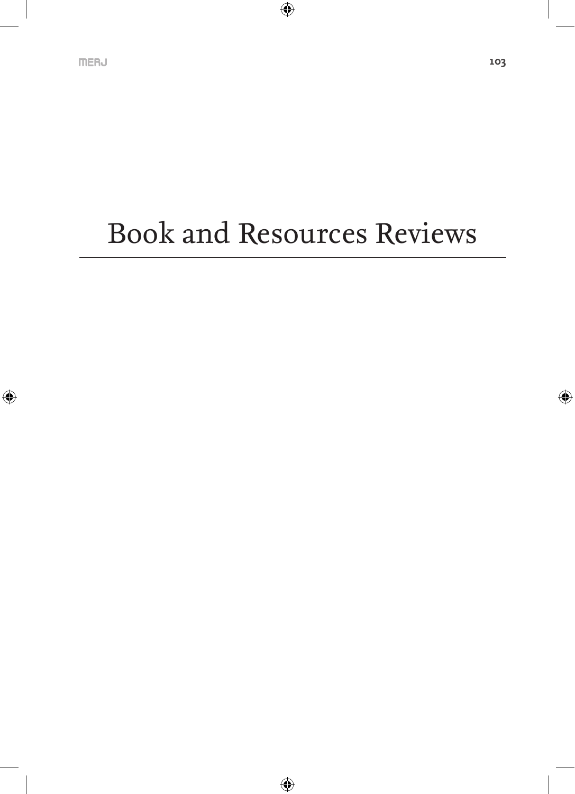# Book and Resources Reviews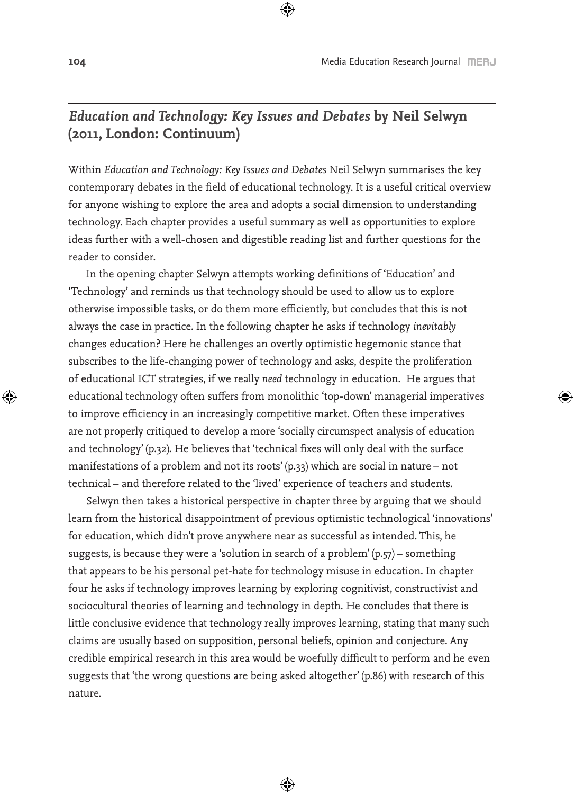#### *Education and Technology: Key Issues and Debates* **by Neil Selwyn (2011, London: Continuum)**

Within *Education and Technology: Key Issues and Debates* Neil Selwyn summarises the key contemporary debates in the field of educational technology. It is a useful critical overview for anyone wishing to explore the area and adopts a social dimension to understanding technology. Each chapter provides a useful summary as well as opportunities to explore ideas further with a well-chosen and digestible reading list and further questions for the reader to consider.

In the opening chapter Selwyn attempts working definitions of 'Education' and 'Technology' and reminds us that technology should be used to allow us to explore otherwise impossible tasks, or do them more efficiently, but concludes that this is not always the case in practice. In the following chapter he asks if technology *inevitably* changes education? Here he challenges an overtly optimistic hegemonic stance that subscribes to the life-changing power of technology and asks, despite the proliferation of educational ICT strategies, if we really *need* technology in education. He argues that educational technology often suffers from monolithic 'top-down' managerial imperatives to improve efficiency in an increasingly competitive market. Often these imperatives are not properly critiqued to develop a more 'socially circumspect analysis of education and technology' (p.32). He believes that 'technical fixes will only deal with the surface manifestations of a problem and not its roots' (p.33) which are social in nature – not technical – and therefore related to the 'lived' experience of teachers and students.

Selwyn then takes a historical perspective in chapter three by arguing that we should learn from the historical disappointment of previous optimistic technological 'innovations' for education, which didn't prove anywhere near as successful as intended. This, he suggests, is because they were a 'solution in search of a problem'  $(p, 57)$  – something that appears to be his personal pet-hate for technology misuse in education. In chapter four he asks if technology improves learning by exploring cognitivist, constructivist and sociocultural theories of learning and technology in depth. He concludes that there is little conclusive evidence that technology really improves learning, stating that many such claims are usually based on supposition, personal beliefs, opinion and conjecture. Any credible empirical research in this area would be woefully difficult to perform and he even suggests that 'the wrong questions are being asked altogether' (p.86) with research of this nature.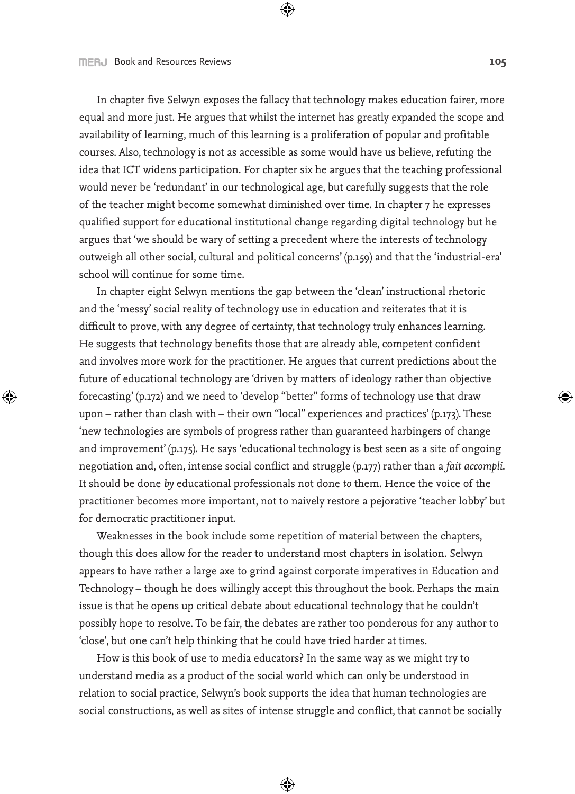In chapter five Selwyn exposes the fallacy that technology makes education fairer, more equal and more just. He argues that whilst the internet has greatly expanded the scope and availability of learning, much of this learning is a proliferation of popular and profitable courses. Also, technology is not as accessible as some would have us believe, refuting the idea that ICT widens participation. For chapter six he argues that the teaching professional would never be 'redundant' in our technological age, but carefully suggests that the role of the teacher might become somewhat diminished over time. In chapter 7 he expresses qualified support for educational institutional change regarding digital technology but he argues that 'we should be wary of setting a precedent where the interests of technology outweigh all other social, cultural and political concerns' (p.159) and that the 'industrial-era' school will continue for some time.

In chapter eight Selwyn mentions the gap between the 'clean' instructional rhetoric and the 'messy' social reality of technology use in education and reiterates that it is difficult to prove, with any degree of certainty, that technology truly enhances learning. He suggests that technology benefits those that are already able, competent confident and involves more work for the practitioner. He argues that current predictions about the future of educational technology are 'driven by matters of ideology rather than objective forecasting' (p.172) and we need to 'develop "better" forms of technology use that draw upon – rather than clash with – their own "local" experiences and practices' (p.173). These 'new technologies are symbols of progress rather than guaranteed harbingers of change and improvement' (p.175). He says 'educational technology is best seen as a site of ongoing negotiation and, often, intense social conflict and struggle (p.177) rather than a *fait accompli*. It should be done *by* educational professionals not done *to* them. Hence the voice of the practitioner becomes more important, not to naively restore a pejorative 'teacher lobby' but for democratic practitioner input.

Weaknesses in the book include some repetition of material between the chapters, though this does allow for the reader to understand most chapters in isolation. Selwyn appears to have rather a large axe to grind against corporate imperatives in Education and Technology – though he does willingly accept this throughout the book. Perhaps the main issue is that he opens up critical debate about educational technology that he couldn't possibly hope to resolve. To be fair, the debates are rather too ponderous for any author to 'close', but one can't help thinking that he could have tried harder at times.

How is this book of use to media educators? In the same way as we might try to understand media as a product of the social world which can only be understood in relation to social practice, Selwyn's book supports the idea that human technologies are social constructions, as well as sites of intense struggle and conflict, that cannot be socially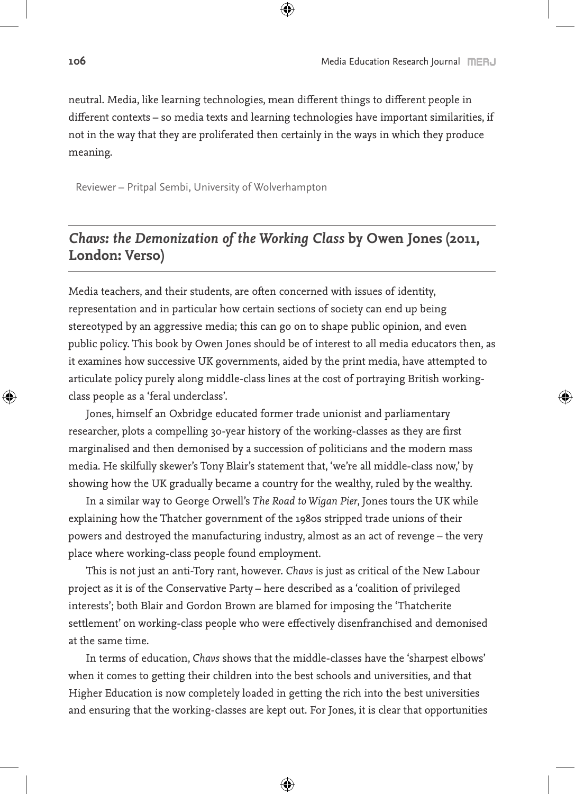neutral. Media, like learning technologies, mean different things to different people in different contexts – so media texts and learning technologies have important similarities, if not in the way that they are proliferated then certainly in the ways in which they produce meaning.

Reviewer – Pritpal Sembi, University of Wolverhampton

### *Chavs: the Demonization of the Working Class* **by Owen Jones (2011, London: Verso)**

Media teachers, and their students, are often concerned with issues of identity, representation and in particular how certain sections of society can end up being stereotyped by an aggressive media; this can go on to shape public opinion, and even public policy. This book by Owen Jones should be of interest to all media educators then, as it examines how successive UK governments, aided by the print media, have attempted to articulate policy purely along middle-class lines at the cost of portraying British workingclass people as a 'feral underclass'.

Jones, himself an Oxbridge educated former trade unionist and parliamentary researcher, plots a compelling 30-year history of the working-classes as they are first marginalised and then demonised by a succession of politicians and the modern mass media. He skilfully skewer's Tony Blair's statement that, 'we're all middle-class now,' by showing how the UK gradually became a country for the wealthy, ruled by the wealthy.

In a similar way to George Orwell's *The Road to Wigan Pier*, Jones tours the UK while explaining how the Thatcher government of the 1980s stripped trade unions of their powers and destroyed the manufacturing industry, almost as an act of revenge – the very place where working-class people found employment.

This is not just an anti-Tory rant, however. *Chavs* is just as critical of the New Labour project as it is of the Conservative Party – here described as a 'coalition of privileged interests'; both Blair and Gordon Brown are blamed for imposing the 'Thatcherite settlement' on working-class people who were effectively disenfranchised and demonised at the same time.

In terms of education, *Chavs* shows that the middle-classes have the 'sharpest elbows' when it comes to getting their children into the best schools and universities, and that Higher Education is now completely loaded in getting the rich into the best universities and ensuring that the working-classes are kept out. For Jones, it is clear that opportunities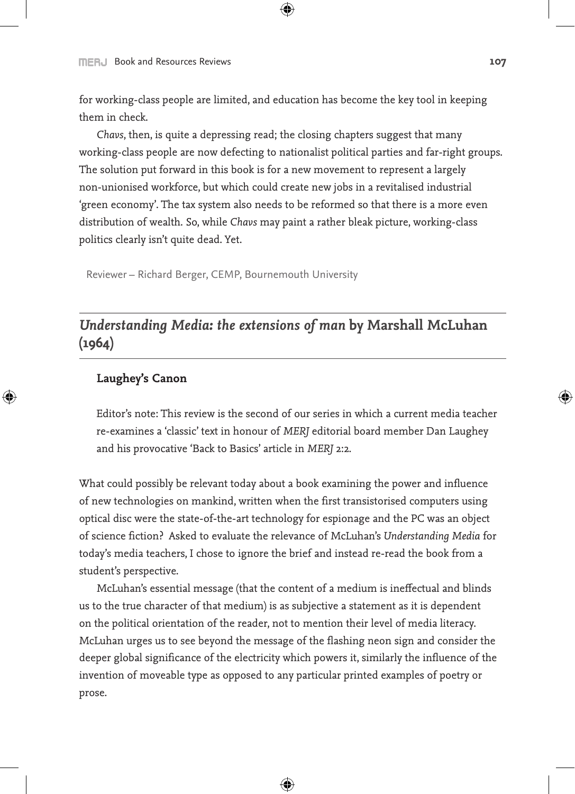for working-class people are limited, and education has become the key tool in keeping them in check.

*Chavs*, then, is quite a depressing read; the closing chapters suggest that many working-class people are now defecting to nationalist political parties and far-right groups. The solution put forward in this book is for a new movement to represent a largely non-unionised workforce, but which could create new jobs in a revitalised industrial 'green economy'. The tax system also needs to be reformed so that there is a more even distribution of wealth. So, while *Chavs* may paint a rather bleak picture, working-class politics clearly isn't quite dead. Yet.

Reviewer – Richard Berger, CEMP, Bournemouth University

## *Understanding Media: the extensions of man* **by Marshall McLuhan (1964)**

#### **Laughey's Canon**

Editor's note: This review is the second of our series in which a current media teacher re-examines a 'classic' text in honour of *MERJ* editorial board member Dan Laughey and his provocative 'Back to Basics' article in *MERJ* 2:2.

What could possibly be relevant today about a book examining the power and influence of new technologies on mankind, written when the first transistorised computers using optical disc were the state-of-the-art technology for espionage and the PC was an object of science fiction? Asked to evaluate the relevance of McLuhan's *Understanding Media* for today's media teachers, I chose to ignore the brief and instead re-read the book from a student's perspective.

McLuhan's essential message (that the content of a medium is ineffectual and blinds us to the true character of that medium) is as subjective a statement as it is dependent on the political orientation of the reader, not to mention their level of media literacy. McLuhan urges us to see beyond the message of the flashing neon sign and consider the deeper global significance of the electricity which powers it, similarly the influence of the invention of moveable type as opposed to any particular printed examples of poetry or prose.